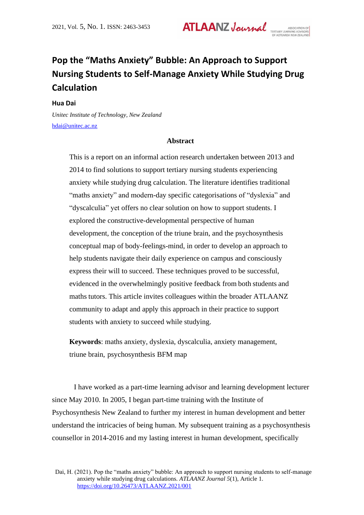**ATLAANZ Journal** 

# **Pop the "Maths Anxiety" Bubble: An Approach to Support Nursing Students to Self-Manage Anxiety While Studying Drug Calculation**

**Hua Dai** 

*Unitec Institute of Technology, New Zealand* [hdai@unitec.ac.nz](mailto:hdai@unitec.ac.nz)

# **Abstract**

This is a report on an informal action research undertaken between 2013 and 2014 to find solutions to support tertiary nursing students experiencing anxiety while studying drug calculation. The literature identifies traditional "maths anxiety" and modern-day specific categorisations of "dyslexia" and "dyscalculia" yet offers no clear solution on how to support students. I explored the constructive-developmental perspective of human development, the conception of the triune brain, and the psychosynthesis conceptual map of body-feelings-mind, in order to develop an approach to help students navigate their daily experience on campus and consciously express their will to succeed. These techniques proved to be successful, evidenced in the overwhelmingly positive feedback from both students and maths tutors. This article invites colleagues within the broader ATLAANZ community to adapt and apply this approach in their practice to support students with anxiety to succeed while studying.

**Keywords**: maths anxiety, dyslexia, dyscalculia, anxiety management, triune brain, psychosynthesis BFM map

I have worked as a part-time learning advisor and learning development lecturer since May 2010. In 2005, I began part-time training with the Institute of Psychosynthesis New Zealand to further my interest in human development and better understand the intricacies of being human. My subsequent training as a psychosynthesis counsellor in 2014-2016 and my lasting interest in human development, specifically

Dai, H. (2021). Pop the "maths anxiety" bubble: An approach to support nursing students to self-manage anxiety while studying drug calculations. *ATLAANZ Journal 5*(1), Article 1. <https://doi.org/10.26473/ATLAANZ.2021/001>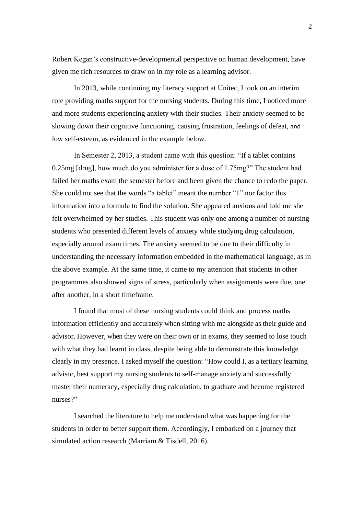Robert Kegan's constructive-developmental perspective on human development, have given me rich resources to draw on in my role as a learning advisor.

In 2013, while continuing my literacy support at Unitec, I took on an interim role providing maths support for the nursing students. During this time, I noticed more and more students experiencing anxiety with their studies. Their anxiety seemed to be slowing down their cognitive functioning, causing frustration, feelings of defeat, and low self-esteem, as evidenced in the example below.

In Semester 2, 2013, a student came with this question: "If a tablet contains 0.25mg [drug], how much do you administer for a dose of 1.75mg?" The student had failed her maths exam the semester before and been given the chance to redo the paper. She could not see that the words "a tablet" meant the number "1" nor factor this information into a formula to find the solution. She appeared anxious and told me she felt overwhelmed by her studies. This student was only one among a number of nursing students who presented different levels of anxiety while studying drug calculation, especially around exam times. The anxiety seemed to be due to their difficulty in understanding the necessary information embedded in the mathematical language, as in the above example. At the same time, it came to my attention that students in other programmes also showed signs of stress, particularly when assignments were due, one after another, in a short timeframe.

I found that most of these nursing students could think and process maths information efficiently and accurately when sitting with me alongside as their guide and advisor. However, when they were on their own or in exams, they seemed to lose touch with what they had learnt in class, despite being able to demonstrate this knowledge clearly in my presence. I asked myself the question: "How could I, as a tertiary learning advisor, best support my nursing students to self-manage anxiety and successfully master their numeracy, especially drug calculation, to graduate and become registered nurses?"

I searched the literature to help me understand what was happening for the students in order to better support them. Accordingly, I embarked on a journey that simulated action research (Marriam & Tisdell, 2016).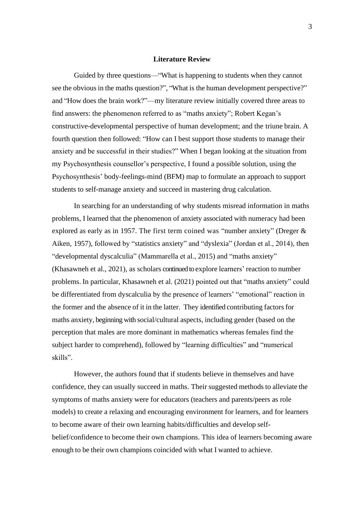# **Literature Review**

Guided by three questions—"What is happening to students when they cannot see the obvious in the maths question?", "What is the human development perspective?" and "How does the brain work?"—my literature review initially covered three areas to find answers: the phenomenon referred to as "maths anxiety"; Robert Kegan's constructive-developmental perspective of human development; and the triune brain. A fourth question then followed: "How can I best support those students to manage their anxiety and be successful in their studies?" When I began looking at the situation from my Psychosynthesis counsellor's perspective, I found a possible solution, using the Psychosynthesis' body-feelings-mind (BFM) map to formulate an approach to support students to self-manage anxiety and succeed in mastering drug calculation.

In searching for an understanding of why students misread information in maths problems, I learned that the phenomenon of anxiety associated with numeracy had been explored as early as in 1957. The first term coined was "number anxiety" (Dreger & Aiken, 1957), followed by "statistics anxiety" and "dyslexia" (Jordan et al., 2014), then "developmental dyscalculia" (Mammarella et al., 2015) and "maths anxiety" (Khasawneh et al., 2021), as scholars continued to explore learners' reaction to number problems. In particular, Khasawneh et al. (2021) pointed out that "maths anxiety" could be differentiated from dyscalculia by the presence of learners' "emotional" reaction in the former and the absence of it in the latter. They identified contributing factors for maths anxiety, beginning with social/cultural aspects, including gender (based on the perception that males are more dominant in mathematics whereas females find the subject harder to comprehend), followed by "learning difficulties" and "numerical skills".

However, the authors found that if students believe in themselves and have confidence, they can usually succeed in maths. Their suggested methods to alleviate the symptoms of maths anxiety were for educators (teachers and parents/peers as role models) to create a relaxing and encouraging environment for learners, and for learners to become aware of their own learning habits/difficulties and develop selfbelief/confidence to become their own champions. This idea of learners becoming aware enough to be their own champions coincided with what I wanted to achieve.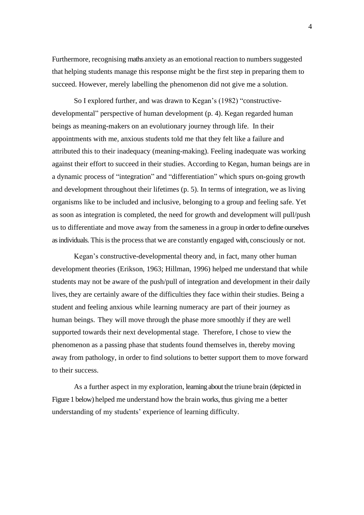Furthermore, recognising maths anxiety as an emotional reaction to numbers suggested that helping students manage this response might be the first step in preparing them to succeed. However, merely labelling the phenomenon did not give me a solution.

So I explored further, and was drawn to Kegan's (1982) "constructivedevelopmental" perspective of human development (p. 4). Kegan regarded human beings as meaning-makers on an evolutionary journey through life. In their appointments with me, anxious students told me that they felt like a failure and attributed this to their inadequacy (meaning-making). Feeling inadequate was working against their effort to succeed in their studies. According to Kegan, human beings are in a dynamic process of "integration" and "differentiation" which spurs on-going growth and development throughout their lifetimes (p. 5). In terms of integration, we as living organisms like to be included and inclusive, belonging to a group and feeling safe. Yet as soon as integration is completed, the need for growth and development will pull/push us to differentiate and move away from the samenessin a group in order to define ourselves as individuals. This is the process that we are constantly engaged with, consciously or not.

Kegan's constructive-developmental theory and, in fact, many other human development theories (Erikson, 1963; Hillman, 1996) helped me understand that while students may not be aware of the push/pull of integration and development in their daily lives, they are certainly aware of the difficulties they face within their studies. Being a student and feeling anxious while learning numeracy are part of their journey as human beings. They will move through the phase more smoothly if they are well supported towards their next developmental stage. Therefore, I chose to view the phenomenon as a passing phase that students found themselves in, thereby moving away from pathology, in order to find solutions to better support them to move forward to their success.

As a further aspect in my exploration, learning about the triune brain (depicted in Figure 1 below) helped me understand how the brain works, thus giving me a better understanding of my students' experience of learning difficulty.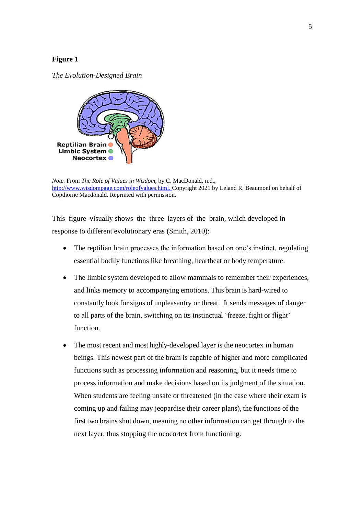# **Figure 1**

*The Evolution-Designed Brain*



*Note.* From *The Role of Values in Wisdom,* by C. MacDonald, n.d., [http://www.wisdompage.com/roleofvalues.html.](http://www.wisdompage.com/roleofvalues.html) Copyright 2021 by Leland R. Beaumont on behalf of Copthorne Macdonald. Reprinted with permission.

This figure visually shows the three layers of the brain, which developed in response to different evolutionary eras (Smith, 2010):

- The reptilian brain processes the information based on one's instinct, regulating essential bodily functions like breathing, heartbeat or body temperature.
- The limbic system developed to allow mammals to remember their experiences, and links memory to accompanying emotions. This brain is hard-wired to constantly look forsigns of unpleasantry or threat. It sends messages of danger to all parts of the brain, switching on its instinctual 'freeze, fight or flight' function.
- The most recent and most highly-developed layer is the neocortex in human beings. This newest part of the brain is capable of higher and more complicated functions such as processing information and reasoning, but it needs time to process information and make decisions based on its judgment of the situation. When students are feeling unsafe or threatened (in the case where their exam is coming up and failing may jeopardise their career plans), the functions of the first two brains shut down, meaning no other information can get through to the next layer, thus stopping the neocortex from functioning.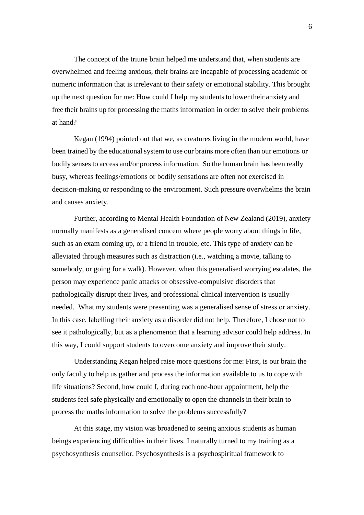The concept of the triune brain helped me understand that, when students are overwhelmed and feeling anxious, their brains are incapable of processing academic or numeric information that is irrelevant to their safety or emotional stability. This brought up the next question for me: How could I help my students to lower their anxiety and free their brains up for processing the maths information in order to solve their problems at hand?

Kegan (1994) pointed out that we, as creatures living in the modern world, have been trained by the educational system to use our brains more often than our emotions or bodily senses to access and/or process information. So the human brain has been really busy, whereas feelings/emotions or bodily sensations are often not exercised in decision-making or responding to the environment. Such pressure overwhelms the brain and causes anxiety.

Further, according to Mental Health Foundation of New Zealand (2019), anxiety normally manifests as a generalised concern where people worry about things in life, such as an exam coming up, or a friend in trouble, etc. This type of anxiety can be alleviated through measures such as distraction (i.e., watching a movie, talking to somebody, or going for a walk). However, when this generalised worrying escalates, the person may experience panic attacks or obsessive-compulsive disorders that pathologically disrupt their lives, and professional clinical intervention is usually needed. What my students were presenting was a generalised sense of stress or anxiety. In this case, labelling their anxiety as a disorder did not help. Therefore, I chose not to see it pathologically, but as a phenomenon that a learning advisor could help address. In this way, I could support students to overcome anxiety and improve their study.

Understanding Kegan helped raise more questions for me: First, is our brain the only faculty to help us gather and process the information available to us to cope with life situations? Second, how could I, during each one-hour appointment, help the students feel safe physically and emotionally to open the channels in their brain to process the maths information to solve the problems successfully?

At this stage, my vision was broadened to seeing anxious students as human beings experiencing difficulties in their lives. I naturally turned to my training as a psychosynthesis counsellor. Psychosynthesis is a psychospiritual framework to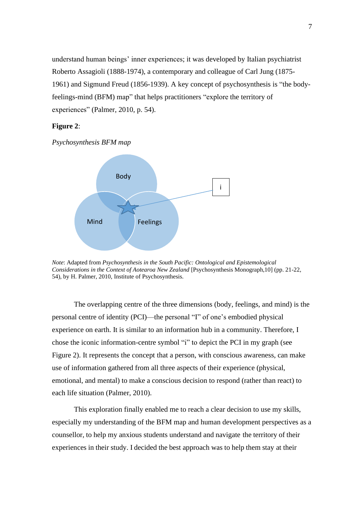understand human beings' inner experiences; it was developed by Italian psychiatrist Roberto Assagioli (1888-1974), a contemporary and colleague of Carl Jung (1875- 1961) and Sigmund Freud (1856-1939). A key concept of psychosynthesis is "the bodyfeelings-mind (BFM) map" that helps practitioners "explore the territory of experiences" (Palmer, 2010, p. 54).

# **Figure 2**:

*Psychosynthesis BFM map*



*Note*: Adapted from *Psychosynthesis in the South Pacific: Ontological and Epistemological Considerations in the Context of Aotearoa New Zealand* [Psychosynthesis Monograph,10] (pp. 21-22, 54), by H. Palmer, 2010, Institute of Psychosynthesis.

The overlapping centre of the three dimensions (body, feelings, and mind) is the personal centre of identity (PCI)—the personal "I" of one's embodied physical experience on earth. It is similar to an information hub in a community. Therefore, I chose the iconic information-centre symbol "i" to depict the PCI in my graph (see Figure 2). It represents the concept that a person, with conscious awareness, can make use of information gathered from all three aspects of their experience (physical, emotional, and mental) to make a conscious decision to respond (rather than react) to each life situation (Palmer, 2010).

This exploration finally enabled me to reach a clear decision to use my skills, especially my understanding of the BFM map and human development perspectives as a counsellor, to help my anxious students understand and navigate the territory of their experiences in their study. I decided the best approach was to help them stay at their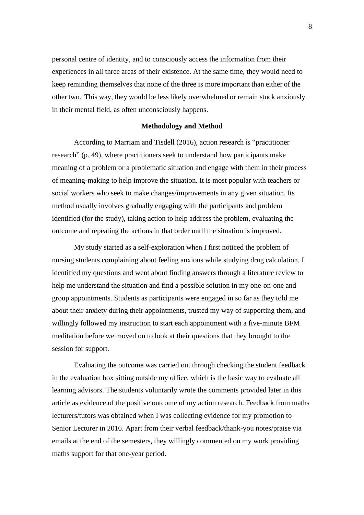personal centre of identity, and to consciously access the information from their experiences in all three areas of their existence. At the same time, they would need to keep reminding themselves that none of the three is more important than either of the other two. This way, they would be less likely overwhelmed or remain stuck anxiously in their mental field, as often unconsciously happens.

#### **Methodology and Method**

According to Marriam and Tisdell (2016), action research is "practitioner research" (p. 49), where practitioners seek to understand how participants make meaning of a problem or a problematic situation and engage with them in their process of meaning-making to help improve the situation. It is most popular with teachers or social workers who seek to make changes/improvements in any given situation. Its method usually involves gradually engaging with the participants and problem identified (for the study), taking action to help address the problem, evaluating the outcome and repeating the actions in that order until the situation is improved.

My study started as a self-exploration when I first noticed the problem of nursing students complaining about feeling anxious while studying drug calculation. I identified my questions and went about finding answers through a literature review to help me understand the situation and find a possible solution in my one-on-one and group appointments. Students as participants were engaged in so far as they told me about their anxiety during their appointments, trusted my way of supporting them, and willingly followed my instruction to start each appointment with a five-minute BFM meditation before we moved on to look at their questions that they brought to the session for support.

Evaluating the outcome was carried out through checking the student feedback in the evaluation box sitting outside my office, which is the basic way to evaluate all learning advisors. The students voluntarily wrote the comments provided later in this article as evidence of the positive outcome of my action research. Feedback from maths lecturers/tutors was obtained when I was collecting evidence for my promotion to Senior Lecturer in 2016. Apart from their verbal feedback/thank-you notes/praise via emails at the end of the semesters, they willingly commented on my work providing maths support for that one-year period.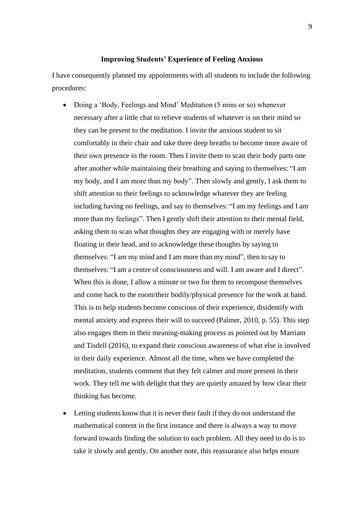#### **Improving Students' Experience of Feeling Anxious**

I have consequently planned my appointments with all students to include the following procedures:

- Doing a 'Body, Feelings and Mind' Meditation (5 mins or so) whenever necessary after a little chat to relieve students of whatever is on their mind so they can be present to the meditation. I invite the anxious student to sit comfortably in their chair and take three deep breaths to become more aware of their own presence in the room. Then I invite them to scan their body parts one after another while maintaining their breathing and saying to themselves: "I am my body, and I am more than my body". Then slowly and gently, I ask them to shift attention to their feelings to acknowledge whatever they are feeling including having no feelings, and say to themselves: "I am my feelings and I am more than my feelings". Then I gently shift their attention to their mental field, asking them to scan what thoughts they are engaging with or merely have floating in their head, and to acknowledge these thoughts by saying to themselves: "I am my mind and I am more than my mind", then to say to themselves: "I am a centre of consciousness and will. I am aware and I direct". When this is done, I allow a minute or two for them to recompose themselves and come back to the room/their bodily/physical presence for the work at hand. This is to help students become conscious of their experience, disidentify with mental anxiety and express their will to succeed (Palmer, 2010, p. 55). This step also engages them in their meaning-making process as pointed out by Marriam and Tisdell (2016), to expand their conscious awareness of what else is involved in their daily experience. Almost all the time, when we have completed the meditation, students comment that they felt calmer and more present in their work. They tell me with delight that they are quietly amazed by how clear their thinking has become.
- Letting students know that it is never their fault if they do not understand the mathematical content in the first instance and there is always a way to move forward towards finding the solution to each problem. All they need to do is to take it slowly and gently. On another note, this reassurance also helps ensure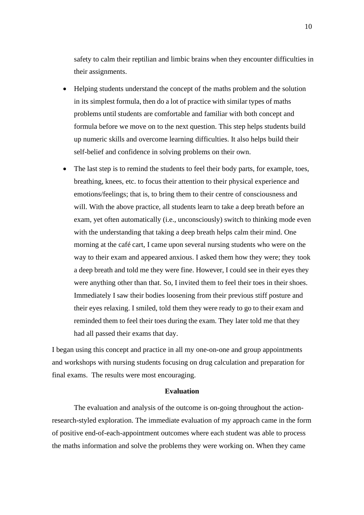safety to calm their reptilian and limbic brains when they encounter difficulties in their assignments.

- Helping students understand the concept of the maths problem and the solution in its simplest formula, then do a lot of practice with similar types of maths problems until students are comfortable and familiar with both concept and formula before we move on to the next question. This step helps students build up numeric skills and overcome learning difficulties. It also helps build their self-belief and confidence in solving problems on their own.
- The last step is to remind the students to feel their body parts, for example, toes, breathing, knees, etc. to focus their attention to their physical experience and emotions/feelings; that is, to bring them to their centre of consciousness and will. With the above practice, all students learn to take a deep breath before an exam, yet often automatically (i.e., unconsciously) switch to thinking mode even with the understanding that taking a deep breath helps calm their mind. One morning at the café cart, I came upon several nursing students who were on the way to their exam and appeared anxious. I asked them how they were; they took a deep breath and told me they were fine. However, I could see in their eyes they were anything other than that. So, I invited them to feel their toes in their shoes. Immediately I saw their bodies loosening from their previous stiff posture and their eyes relaxing. I smiled, told them they were ready to go to their exam and reminded them to feel their toes during the exam. They later told me that they had all passed their exams that day.

I began using this concept and practice in all my one-on-one and group appointments and workshops with nursing students focusing on drug calculation and preparation for final exams. The results were most encouraging.

#### **Evaluation**

The evaluation and analysis of the outcome is on-going throughout the actionresearch-styled exploration. The immediate evaluation of my approach came in the form of positive end-of-each-appointment outcomes where each student was able to process the maths information and solve the problems they were working on. When they came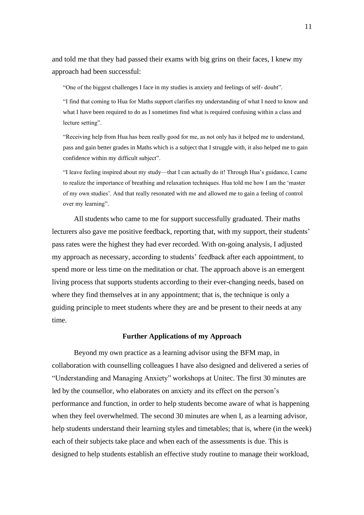and told me that they had passed their exams with big grins on their faces, I knew my approach had been successful:

"One of the biggest challenges I face in my studies is anxiety and feelings of self- doubt".

"I find that coming to Hua for Maths support clarifies my understanding of what I need to know and what I have been required to do as I sometimes find what is required confusing within a class and lecture setting".

"Receiving help from Hua has been really good for me, as not only has it helped me to understand, pass and gain better grades in Maths which is a subject that I struggle with, it also helped me to gain confidence within my difficult subject".

"I leave feeling inspired about my study—that I can actually do it! Through Hua's guidance, I came to realize the importance of breathing and relaxation techniques. Hua told me how I am the 'master of my own studies'. And that really resonated with me and allowed me to gain a feeling of control over my learning".

All students who came to me for support successfully graduated. Their maths lecturers also gave me positive feedback, reporting that, with my support, their students' pass rates were the highest they had ever recorded. With on-going analysis, I adjusted my approach as necessary, according to students' feedback after each appointment, to spend more or less time on the meditation or chat. The approach above is an emergent living process that supports students according to their ever-changing needs, based on where they find themselves at in any appointment; that is, the technique is only a guiding principle to meet students where they are and be present to their needs at any time.

#### **Further Applications of my Approach**

Beyond my own practice as a learning advisor using the BFM map, in collaboration with counselling colleagues I have also designed and delivered a series of "Understanding and Managing Anxiety" workshops at Unitec. The first 30 minutes are led by the counsellor, who elaborates on anxiety and its effect on the person's performance and function, in order to help students become aware of what is happening when they feel overwhelmed. The second 30 minutes are when I, as a learning advisor, help students understand their learning styles and timetables; that is, where (in the week) each of their subjects take place and when each of the assessments is due. This is designed to help students establish an effective study routine to manage their workload,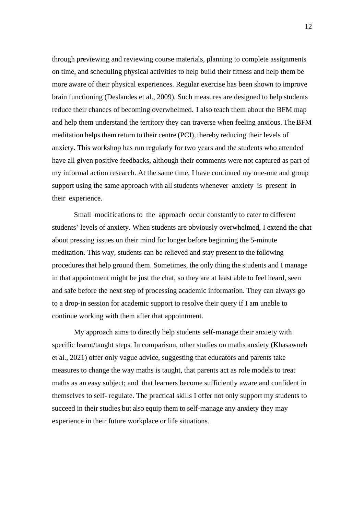through previewing and reviewing course materials, planning to complete assignments on time, and scheduling physical activities to help build their fitness and help them be more aware of their physical experiences. Regular exercise has been shown to improve brain functioning (Deslandes et al., 2009). Such measures are designed to help students reduce their chances of becoming overwhelmed. I also teach them about the BFM map and help them understand the territory they can traverse when feeling anxious. The BFM meditation helps them return to their centre (PCI), thereby reducing their levels of anxiety. This workshop has run regularly for two years and the students who attended have all given positive feedbacks, although their comments were not captured as part of my informal action research. At the same time, I have continued my one-one and group support using the same approach with all students whenever anxiety is present in their experience.

Small modifications to the approach occur constantly to cater to different students' levels of anxiety. When students are obviously overwhelmed, I extend the chat about pressing issues on their mind for longer before beginning the 5-minute meditation. This way, students can be relieved and stay present to the following procedures that help ground them. Sometimes, the only thing the students and I manage in that appointment might be just the chat, so they are at least able to feel heard, seen and safe before the next step of processing academic information. They can always go to a drop-in session for academic support to resolve their query if I am unable to continue working with them after that appointment.

My approach aims to directly help students self-manage their anxiety with specific learnt/taught steps. In comparison, other studies on maths anxiety (Khasawneh et al., 2021) offer only vague advice, suggesting that educators and parents take measures to change the way maths is taught, that parents act as role models to treat maths as an easy subject; and that learners become sufficiently aware and confident in themselves to self- regulate. The practical skills I offer not only support my students to succeed in their studies but also equip them to self-manage any anxiety they may experience in their future workplace or life situations.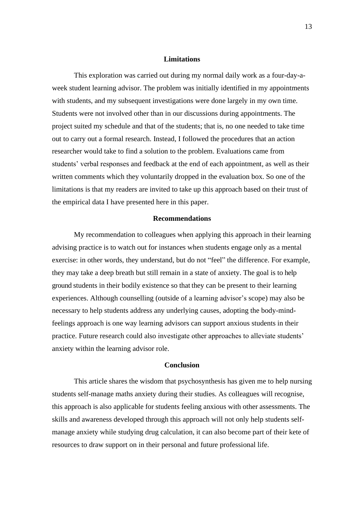### **Limitations**

This exploration was carried out during my normal daily work as a four-day-aweek student learning advisor. The problem was initially identified in my appointments with students, and my subsequent investigations were done largely in my own time. Students were not involved other than in our discussions during appointments. The project suited my schedule and that of the students; that is, no one needed to take time out to carry out a formal research. Instead, I followed the procedures that an action researcher would take to find a solution to the problem. Evaluations came from students' verbal responses and feedback at the end of each appointment, as well as their written comments which they voluntarily dropped in the evaluation box. So one of the limitations is that my readers are invited to take up this approach based on their trust of the empirical data I have presented here in this paper.

#### **Recommendations**

My recommendation to colleagues when applying this approach in their learning advising practice is to watch out for instances when students engage only as a mental exercise: in other words, they understand, but do not "feel" the difference. For example, they may take a deep breath but still remain in a state of anxiety. The goal is to help ground students in their bodily existence so that they can be present to their learning experiences. Although counselling (outside of a learning advisor's scope) may also be necessary to help students address any underlying causes, adopting the body-mindfeelings approach is one way learning advisors can support anxious students in their practice. Future research could also investigate other approaches to alleviate students' anxiety within the learning advisor role.

# **Conclusion**

This article shares the wisdom that psychosynthesis has given me to help nursing students self-manage maths anxiety during their studies. As colleagues will recognise, this approach is also applicable for students feeling anxious with other assessments. The skills and awareness developed through this approach will not only help students selfmanage anxiety while studying drug calculation, it can also become part of their kete of resources to draw support on in their personal and future professional life.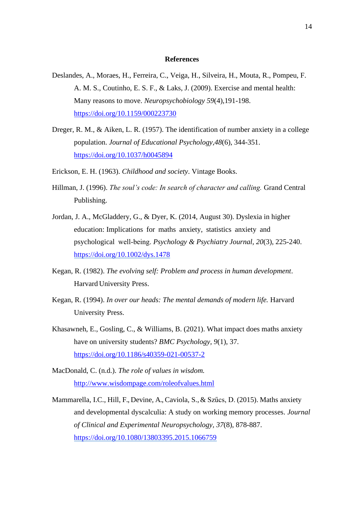# **References**

- Deslandes, A., Moraes, H., Ferreira, C., Veiga, H., Silveira, H., Mouta, R., Pompeu, F. A. M. S., Coutinho, E. S. F., & Laks, J. (2009). Exercise and mental health: Many reasons to move. *Neuropsychobiology 59*(4),191-198. <https://doi.org/10.1159/000223730>
- Dreger, R. M., & Aiken, L. R. (1957). The identification of number anxiety in a college population. *Journal of Educational Psychology,48*(6), 344-351. <https://doi.org/10.1037/h0045894>
- Erickson, E. H. (1963). *Childhood and society*. Vintage Books.
- Hillman, J. (1996). *The soul's code: In search of character and calling.* Grand Central Publishing.
- Jordan, J. A., McGladdery, G., & Dyer, K. (2014, August 30). Dyslexia in higher education: Implications for maths anxiety, statistics anxiety and psychological well‐being. *Psychology & Psychiatry Journal*, *20*(3), 225-240. <https://doi.org/10.1002/dys.1478>
- Kegan, R. (1982). *The evolving self: Problem and process in human development*. Harvard University Press.
- Kegan, R. (1994). *In over our heads: The mental demands of modern life.* Harvard University Press.
- Khasawneh, E., Gosling, C., & Williams, B. (2021). What impact does maths anxiety have on university students? *BMC Psychology, 9*(1), 37. <https://doi.org/10.1186/s40359-021-00537-2>
- MacDonald, C. (n.d.). *The role of values in wisdom.* <http://www.wisdompage.com/roleofvalues.html>
- Mammarella, I.C., Hill, F., Devine, A., Caviola, S., & Szűcs, D. (2015). Maths anxiety and developmental dyscalculia: A study on working memory processes. *Journal of Clinical and Experimental Neuropsychology, 37*(8), 878-887. <https://doi.org/10.1080/13803395.2015.1066759>